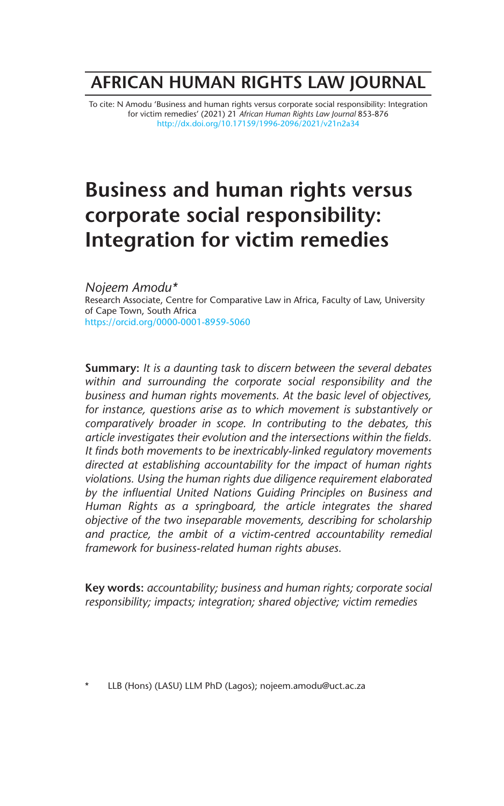## **AFRICAN HUMAN RIGHTS LAW JOURNAL**

To cite: N Amodu 'Business and human rights versus corporate social responsibility: Integration for victim remedies' (2021) 21 *African Human Rights Law Journal* 853-876 http://dx.doi.org/10.17159/1996-2096/2021/v21n2a34

# **Business and human rights versus corporate social responsibility: Integration for victim remedies**

*Nojeem Amodu\** Research Associate, Centre for Comparative Law in Africa, Faculty of Law, University of Cape Town, South Africa https://orcid.org/0000-0001-8959-5060

**Summary:** *It is a daunting task to discern between the several debates within and surrounding the corporate social responsibility and the business and human rights movements. At the basic level of objectives, for instance, questions arise as to which movement is substantively or comparatively broader in scope. In contributing to the debates, this article investigates their evolution and the intersections within the fields. It finds both movements to be inextricably-linked regulatory movements directed at establishing accountability for the impact of human rights violations. Using the human rights due diligence requirement elaborated by the influential United Nations Guiding Principles on Business and Human Rights as a springboard, the article integrates the shared objective of the two inseparable movements, describing for scholarship and practice, the ambit of a victim-centred accountability remedial framework for business-related human rights abuses.* 

**Key words:** *accountability; business and human rights; corporate social responsibility; impacts; integration; shared objective; victim remedies*

LLB (Hons) (LASU) LLM PhD (Lagos); nojeem.amodu@uct.ac.za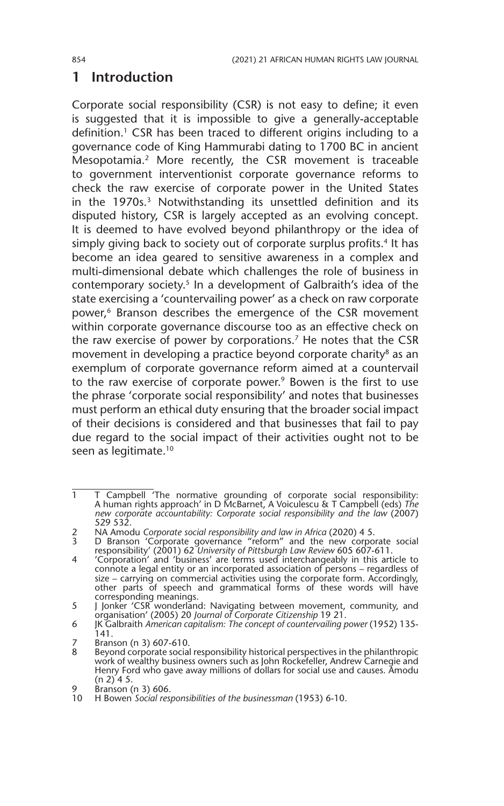### **1 Introduction**

Corporate social responsibility (CSR) is not easy to define; it even is suggested that it is impossible to give a generally-acceptable definition.<sup>1</sup> CSR has been traced to different origins including to a governance code of King Hammurabi dating to 1700 BC in ancient Mesopotamia.2 More recently, the CSR movement is traceable to government interventionist corporate governance reforms to check the raw exercise of corporate power in the United States in the 1970s.<sup>3</sup> Notwithstanding its unsettled definition and its disputed history, CSR is largely accepted as an evolving concept. It is deemed to have evolved beyond philanthropy or the idea of simply giving back to society out of corporate surplus profits.<sup>4</sup> It has become an idea geared to sensitive awareness in a complex and multi-dimensional debate which challenges the role of business in contemporary society.5 In a development of Galbraith's idea of the state exercising a 'countervailing power' as a check on raw corporate power,<sup>6</sup> Branson describes the emergence of the CSR movement within corporate governance discourse too as an effective check on the raw exercise of power by corporations.<sup>7</sup> He notes that the CSR movement in developing a practice beyond corporate charity<sup>8</sup> as an exemplum of corporate governance reform aimed at a countervail to the raw exercise of corporate power.<sup>9</sup> Bowen is the first to use the phrase 'corporate social responsibility' and notes that businesses must perform an ethical duty ensuring that the broader social impact of their decisions is considered and that businesses that fail to pay due regard to the social impact of their activities ought not to be seen as legitimate.<sup>10</sup>

<sup>1</sup> T Campbell 'The normative grounding of corporate social responsibility: A human rights approach' in D McBarnet, A Voiculescu & T Campbell (eds) *The new corporate accountability: Corporate social responsibility and the law* (2007) 529 532.

<sup>2</sup> NA Amodu *Corporate social responsibility and law in Africa* (2020) 4 5.

<sup>3</sup> D Branson 'Corporate governance "reform" and the new corporate social responsibility' (2001) 62 *University of Pittsburgh Law Review* 605 607-611.

<sup>4</sup> 'Corporation' and 'business' are terms used interchangeably in this article to connote a legal entity or an incorporated association of persons – regardless of size – carrying on commercial activities using the corporate form. Accordingly, other parts of speech and grammatical forms of these words will have corresponding meanings.

<sup>5</sup> J Jonker 'CSR wonderland: Navigating between movement, community, and organisation' (2005) 20 *Journal of Corporate Citizenship* 19 21.

<sup>6</sup> JK Galbraith *American capitalism: The concept of countervailing power* (1952) 135- 141.

<sup>7</sup> Branson (n 3) 607-610.<br>8 Beyond corporate social

<sup>8</sup> Beyond corporate social responsibility historical perspectives in the philanthropic work of wealthy business owners such as John Rockefeller, Andrew Carnegie and Henry Ford who gave away millions of dollars for social use and causes. Amodu  $(n 2)$  4 5.

<sup>9</sup> Branson (n 3) 606.

<sup>10</sup> H Bowen *Social responsibilities of the businessman* (1953) 6-10.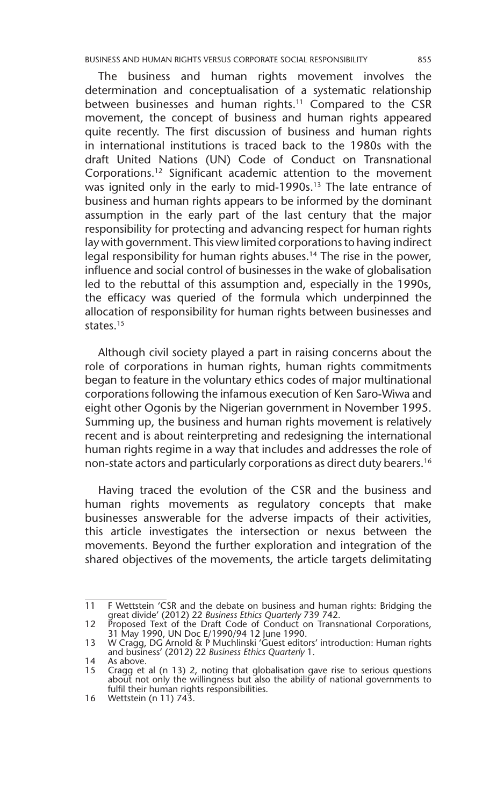The business and human rights movement involves the determination and conceptualisation of a systematic relationship between businesses and human rights.<sup>11</sup> Compared to the CSR movement, the concept of business and human rights appeared quite recently. The first discussion of business and human rights in international institutions is traced back to the 1980s with the draft United Nations (UN) Code of Conduct on Transnational Corporations.12 Significant academic attention to the movement was ignited only in the early to mid-1990s.<sup>13</sup> The late entrance of business and human rights appears to be informed by the dominant assumption in the early part of the last century that the major responsibility for protecting and advancing respect for human rights lay with government. This view limited corporations to having indirect legal responsibility for human rights abuses.<sup>14</sup> The rise in the power, influence and social control of businesses in the wake of globalisation led to the rebuttal of this assumption and, especially in the 1990s, the efficacy was queried of the formula which underpinned the allocation of responsibility for human rights between businesses and states.15

Although civil society played a part in raising concerns about the role of corporations in human rights, human rights commitments began to feature in the voluntary ethics codes of major multinational corporations following the infamous execution of Ken Saro-Wiwa and eight other Ogonis by the Nigerian government in November 1995. Summing up, the business and human rights movement is relatively recent and is about reinterpreting and redesigning the international human rights regime in a way that includes and addresses the role of non-state actors and particularly corporations as direct duty bearers.16

Having traced the evolution of the CSR and the business and human rights movements as regulatory concepts that make businesses answerable for the adverse impacts of their activities, this article investigates the intersection or nexus between the movements. Beyond the further exploration and integration of the shared objectives of the movements, the article targets delimitating

<sup>11</sup> F Wettstein 'CSR and the debate on business and human rights: Bridging the great divide' (2012) 22 *Business Ethics Quarterly* 739 742.

<sup>12</sup> Proposed Text of the Draft Code of Conduct on Transnational Corporations, 31 May 1990, UN Doc E/1990/94 12 June 1990.

<sup>13</sup> W Cragg, DG Arnold & P Muchlinski 'Guest editors' introduction: Human rights and business' (2012) 22 *Business Ethics Quarterly* 1.

<sup>14</sup> As above.<br>15 Cragg et

Cragg et al (n 13) 2, noting that globalisation gave rise to serious questions about not only the willingness but also the ability of national governments to fulfil their human rights responsibilities.

<sup>16</sup> Wettstein (n 11) 743.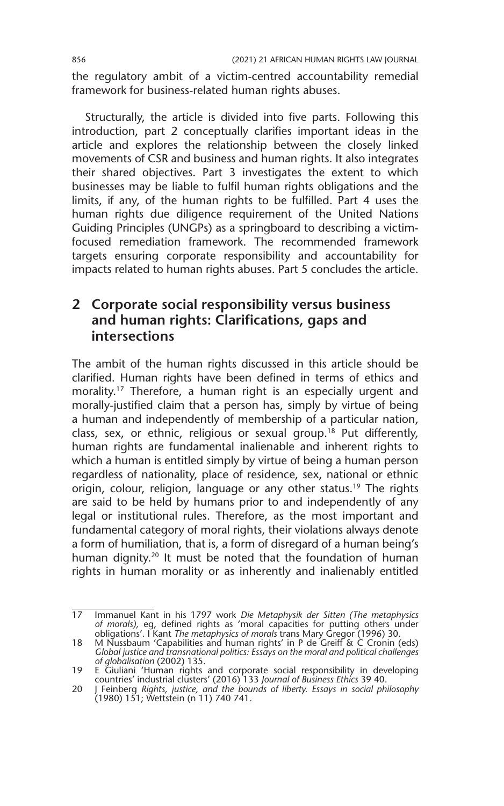the regulatory ambit of a victim-centred accountability remedial framework for business-related human rights abuses.

Structurally, the article is divided into five parts. Following this introduction, part 2 conceptually clarifies important ideas in the article and explores the relationship between the closely linked movements of CSR and business and human rights. It also integrates their shared objectives. Part 3 investigates the extent to which businesses may be liable to fulfil human rights obligations and the limits, if any, of the human rights to be fulfilled. Part 4 uses the human rights due diligence requirement of the United Nations Guiding Principles (UNGPs) as a springboard to describing a victimfocused remediation framework. The recommended framework targets ensuring corporate responsibility and accountability for impacts related to human rights abuses. Part 5 concludes the article.

#### **2 Corporate social responsibility versus business and human rights: Clarifications, gaps and intersections**

The ambit of the human rights discussed in this article should be clarified. Human rights have been defined in terms of ethics and morality.17 Therefore, a human right is an especially urgent and morally-justified claim that a person has, simply by virtue of being a human and independently of membership of a particular nation, class, sex, or ethnic, religious or sexual group.18 Put differently, human rights are fundamental inalienable and inherent rights to which a human is entitled simply by virtue of being a human person regardless of nationality, place of residence, sex, national or ethnic origin, colour, religion, language or any other status.<sup>19</sup> The rights are said to be held by humans prior to and independently of any legal or institutional rules. Therefore, as the most important and fundamental category of moral rights, their violations always denote a form of humiliation, that is, a form of disregard of a human being's human dignity.<sup>20</sup> It must be noted that the foundation of human rights in human morality or as inherently and inalienably entitled

<sup>17</sup> Immanuel Kant in his 1797 work *Die Metaphysik der Sitten (The metaphysics of morals),* eg, defined rights as 'moral capacities for putting others under obligations'. I Kant *The metaphysics of morals* trans Mary Gregor (1996) 30.

<sup>18</sup> M Nussbaum 'Capabilities and human rights' in P de Greiff & C Cronin (eds) *Global justice and transnational politics: Essays on the moral and political challenges of globalisation* (2002) 135. 19 E Giuliani 'Human rights and corporate social responsibility in developing

countries' industrial clusters' (2016) 133 *Journal of Business Ethics* 39 40.

<sup>20</sup> J Feinberg *Rights, justice, and the bounds of liberty. Essays in social philosophy*  (1980) 151; Wettstein (n 11) 740 741.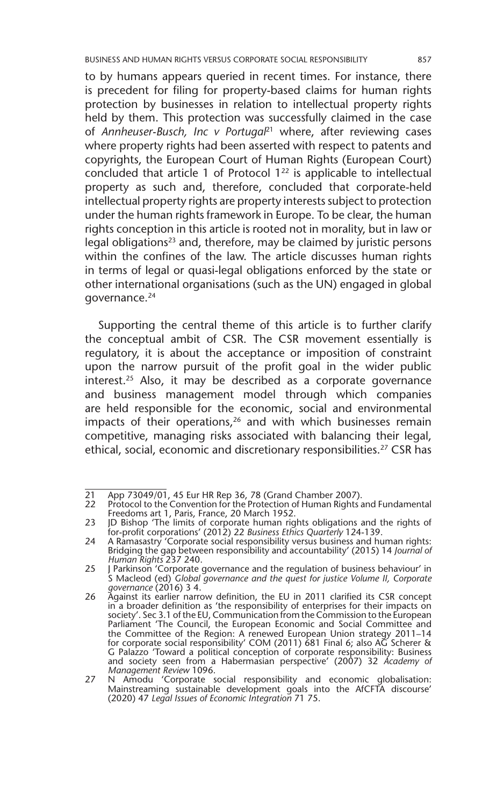to by humans appears queried in recent times. For instance, there is precedent for filing for property-based claims for human rights protection by businesses in relation to intellectual property rights held by them. This protection was successfully claimed in the case of *Annheuser-Busch, Inc v Portugal<sup>21</sup>* where, after reviewing cases where property rights had been asserted with respect to patents and copyrights, the European Court of Human Rights (European Court) concluded that article 1 of Protocol  $1^{22}$  is applicable to intellectual property as such and, therefore, concluded that corporate-held intellectual property rights are property interests subject to protection under the human rights framework in Europe. To be clear, the human rights conception in this article is rooted not in morality, but in law or legal obligations<sup>23</sup> and, therefore, may be claimed by juristic persons within the confines of the law. The article discusses human rights in terms of legal or quasi-legal obligations enforced by the state or other international organisations (such as the UN) engaged in global governance.<sup>24</sup>

Supporting the central theme of this article is to further clarify the conceptual ambit of CSR. The CSR movement essentially is regulatory, it is about the acceptance or imposition of constraint upon the narrow pursuit of the profit goal in the wider public interest.25 Also, it may be described as a corporate governance and business management model through which companies are held responsible for the economic, social and environmental impacts of their operations, $26$  and with which businesses remain competitive, managing risks associated with balancing their legal, ethical, social, economic and discretionary responsibilities.<sup>27</sup> CSR has

<sup>21</sup> App 73049/01, 45 Eur HR Rep 36, 78 (Grand Chamber 2007). Protocol to the Convention for the Protection of Human Rights and Fundamental Freedoms art 1, Paris, France, 20 March 1952.

<sup>23</sup> JD Bishop 'The limits of corporate human rights obligations and the rights of for-profit corporations' (2012) 22 *Business Ethics Quarterly* 124-139.

<sup>24</sup> A Ramasastry 'Corporate social responsibility versus business and human rights: Bridging the gap between responsibility and accountability' (2015) 14 *Journal of Human Rights* 237 240.

<sup>25</sup> J Parkinson 'Corporate governance and the regulation of business behaviour' in S Macleod (ed) *Global governance and the quest for justice Volume II, Corporate governance* (2016) 3 4.

<sup>26</sup> Against its earlier narrow definition, the EU in 2011 clarified its CSR concept in a broader definition as 'the responsibility of enterprises for their impacts on society'. Sec 3.1 of the EU, Communication from the Commission to the European Parliament 'The Council, the European Economic and Social Committee and the Committee of the Region: A renewed European Union strategy 2011–14 for corporate social responsibility' COM (2011) 681 Final 6; also AG Scherer & G Palazzo 'Toward a political conception of corporate responsibility: Business and society seen from a Habermasian perspective' (2007) 32 *Academy of Management Review* 1096.

<sup>27</sup> N Amodu 'Corporate social responsibility and economic globalisation: Mainstreaming sustainable development goals into the AfCFTA discourse' (2020) 47 *Legal Issues of Economic Integration* 71 75.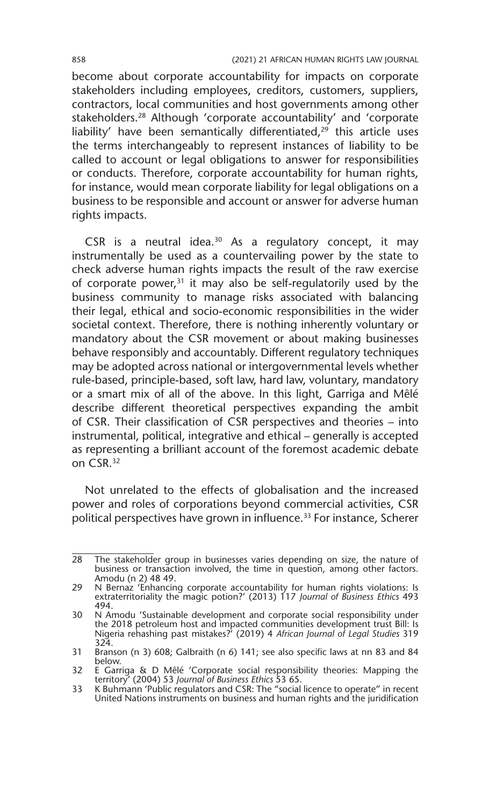become about corporate accountability for impacts on corporate stakeholders including employees, creditors, customers, suppliers, contractors, local communities and host governments among other stakeholders.28 Although 'corporate accountability' and 'corporate liability' have been semantically differentiated,<sup>29</sup> this article uses the terms interchangeably to represent instances of liability to be called to account or legal obligations to answer for responsibilities or conducts. Therefore, corporate accountability for human rights, for instance, would mean corporate liability for legal obligations on a business to be responsible and account or answer for adverse human rights impacts.

CSR is a neutral idea. $30$  As a regulatory concept, it may instrumentally be used as a countervailing power by the state to check adverse human rights impacts the result of the raw exercise of corporate power, $31$  it may also be self-regulatorily used by the business community to manage risks associated with balancing their legal, ethical and socio-economic responsibilities in the wider societal context. Therefore, there is nothing inherently voluntary or mandatory about the CSR movement or about making businesses behave responsibly and accountably. Different regulatory techniques may be adopted across national or intergovernmental levels whether rule-based, principle-based, soft law, hard law, voluntary, mandatory or a smart mix of all of the above. In this light, Garriga and Mêlé describe different theoretical perspectives expanding the ambit of CSR. Their classification of CSR perspectives and theories – into instrumental, political, integrative and ethical – generally is accepted as representing a brilliant account of the foremost academic debate on CSR.32

Not unrelated to the effects of globalisation and the increased power and roles of corporations beyond commercial activities, CSR political perspectives have grown in influence.33 For instance, Scherer

<sup>28</sup> The stakeholder group in businesses varies depending on size, the nature of business or transaction involved, the time in question, among other factors. Amodu (n 2) 48 49.

<sup>29</sup> N Bernaz 'Enhancing corporate accountability for human rights violations: Is extraterritoriality the magic potion?' (2013) 117 *Journal of Business Ethics* 493 494.

<sup>30</sup> N Amodu 'Sustainable development and corporate social responsibility under the 2018 petroleum host and impacted communities development trust Bill: Is Nigeria rehashing past mistakes?' (2019) 4 *African Journal of Legal Studies* 319 324.

<sup>31</sup> Branson (n 3) 608; Galbraith (n 6) 141; see also specific laws at nn 83 and 84 below.

<sup>32</sup> E Garriga & D Mêlé 'Corporate social responsibility theories: Mapping the territory' (2004) 53 *Journal of Business Ethics* 53 65.

<sup>33</sup> K Buhmann 'Public regulators and CSR: The "social licence to operate" in recent United Nations instruments on business and human rights and the juridification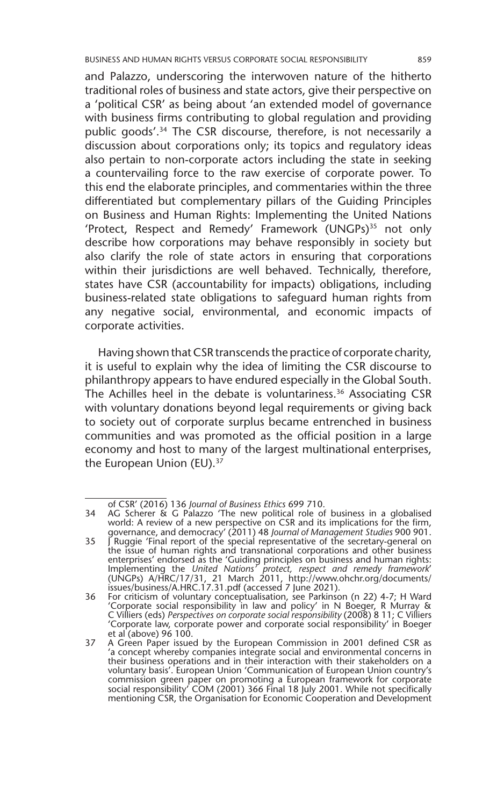and Palazzo, underscoring the interwoven nature of the hitherto traditional roles of business and state actors, give their perspective on a 'political CSR' as being about 'an extended model of governance with business firms contributing to global regulation and providing public goods'.<sup>34</sup> The CSR discourse, therefore, is not necessarily a discussion about corporations only; its topics and regulatory ideas also pertain to non-corporate actors including the state in seeking a countervailing force to the raw exercise of corporate power. To this end the elaborate principles, and commentaries within the three differentiated but complementary pillars of the Guiding Principles on Business and Human Rights: Implementing the United Nations 'Protect, Respect and Remedy' Framework (UNGPs)<sup>35</sup> not only describe how corporations may behave responsibly in society but also clarify the role of state actors in ensuring that corporations within their jurisdictions are well behaved. Technically, therefore, states have CSR (accountability for impacts) obligations, including business-related state obligations to safeguard human rights from any negative social, environmental, and economic impacts of corporate activities.

Having shown that CSR transcends the practice of corporate charity, it is useful to explain why the idea of limiting the CSR discourse to philanthropy appears to have endured especially in the Global South. The Achilles heel in the debate is voluntariness.<sup>36</sup> Associating CSR with voluntary donations beyond legal requirements or giving back to society out of corporate surplus became entrenched in business communities and was promoted as the official position in a large economy and host to many of the largest multinational enterprises, the European Union (EU).<sup>37</sup>

of CSR' (2016) 136 *Journal of Business Ethics* 699 710.

<sup>34</sup> AG Scherer & G Palazzo 'The new political role of business in a globalised world: A review of a new perspective on CSR and its implications for the firm, governance, and democracy' (2011) 48 *Journal of Management Studies* 900 901.

<sup>35</sup> J Ruggie 'Final report of the special representative of the secretary-general on the issue of human rights and transnational corporations and other business enterprises' endorsed as the 'Guiding principles on business and human rights: Implementing the *United Nations' protect, respect and remedy framework*' (UNGPs) A/HRC/17/31, 21 March 2011, http://www.ohchr.org/documents/ issues/business/A.HRC.17.31.pdf (accessed 7 June 2021).

<sup>36</sup> For criticism of voluntary conceptualisation, see Parkinson (n 22) 4-7; H Ward 'Corporate social responsibility in law and policy' in N Boeger, R Murray & C Villiers (eds) *Perspectives on corporate social responsibility* (2008) 8 11; C Villiers 'Corporate law, corporate power and corporate social responsibility' in Boeger et al (above) 96 100.

<sup>37</sup> A Green Paper issued by the European Commission in 2001 defined CSR as 'a concept whereby companies integrate social and environmental concerns in<br>their business operations and in their interaction with their stakeholders on a<br>voluntary basis'. European Union 'Communication of European Union commission green paper on promoting a European framework for corporate social responsibility' COM (2001) 366 Final 18 July 2001. While not specifically mentioning CSR, the Organisation for Economic Cooperation and Development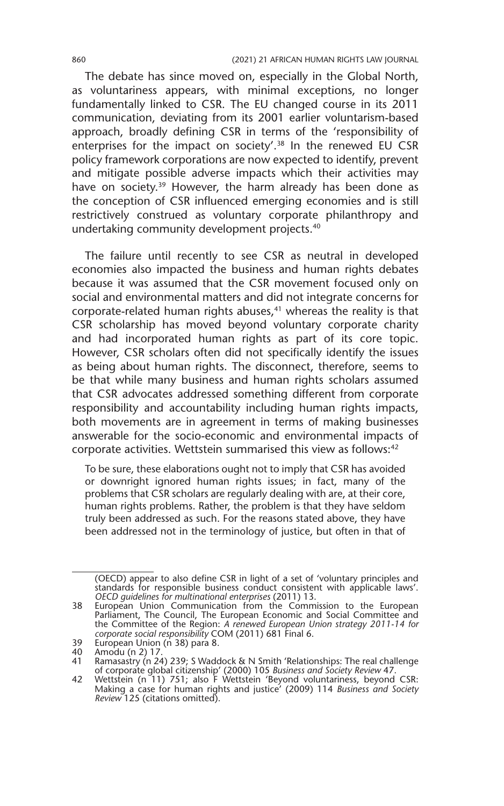The debate has since moved on, especially in the Global North, as voluntariness appears, with minimal exceptions, no longer fundamentally linked to CSR. The EU changed course in its 2011 communication, deviating from its 2001 earlier voluntarism-based approach, broadly defining CSR in terms of the 'responsibility of enterprises for the impact on society'.<sup>38</sup> In the renewed EU CSR policy framework corporations are now expected to identify, prevent and mitigate possible adverse impacts which their activities may have on society.<sup>39</sup> However, the harm already has been done as the conception of CSR influenced emerging economies and is still restrictively construed as voluntary corporate philanthropy and undertaking community development projects.40

The failure until recently to see CSR as neutral in developed economies also impacted the business and human rights debates because it was assumed that the CSR movement focused only on social and environmental matters and did not integrate concerns for corporate-related human rights abuses, $41$  whereas the reality is that CSR scholarship has moved beyond voluntary corporate charity and had incorporated human rights as part of its core topic. However, CSR scholars often did not specifically identify the issues as being about human rights. The disconnect, therefore, seems to be that while many business and human rights scholars assumed that CSR advocates addressed something different from corporate responsibility and accountability including human rights impacts, both movements are in agreement in terms of making businesses answerable for the socio-economic and environmental impacts of corporate activities. Wettstein summarised this view as follows:<sup>42</sup>

To be sure, these elaborations ought not to imply that CSR has avoided or downright ignored human rights issues; in fact, many of the problems that CSR scholars are regularly dealing with are, at their core, human rights problems. Rather, the problem is that they have seldom truly been addressed as such. For the reasons stated above, they have been addressed not in the terminology of justice, but often in that of

<sup>(</sup>OECD) appear to also define CSR in light of a set of 'voluntary principles and standards for responsible business conduct consistent with applicable laws'. *OECD guidelines for multinational enterprises* (2011) 13.

<sup>38</sup> European Union Communication from the Commission to the European Parliament, The Council, The European Economic and Social Committee and the Committee of the Region: *A renewed European Union strategy 2011-14 for corporate social responsibility* COM (2011) 681 Final 6.

<sup>39</sup> European Union (n 38) para 8.

<sup>40</sup> Amodu (n 2) 17.

Ramasastry (n 24) 239; S Waddock & N Smith 'Relationships: The real challenge of corporate global citizenship' (2000) 105 *Business and Society Review* 47.

<sup>42</sup> Wettstein (n 11) 751; also F Wettstein 'Beyond voluntariness, beyond CSR: Making a case for human rights and justice' (2009) 114 *Business and Society Review* 125 (citations omitted).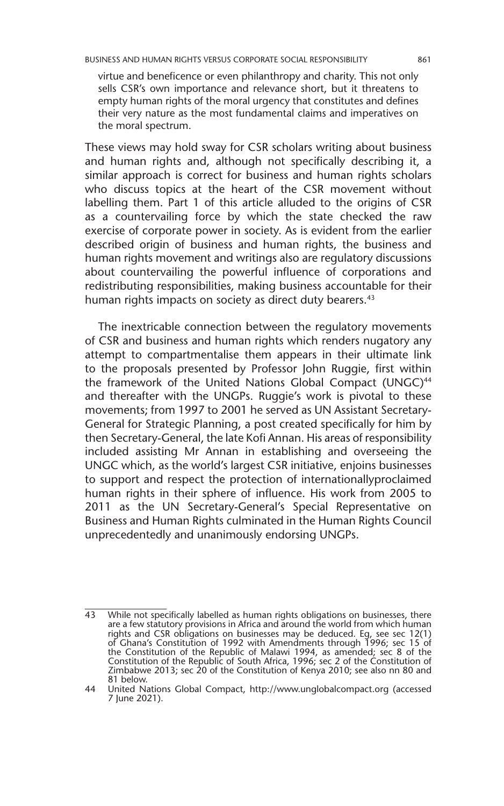virtue and beneficence or even philanthropy and charity. This not only sells CSR's own importance and relevance short, but it threatens to empty human rights of the moral urgency that constitutes and defines their very nature as the most fundamental claims and imperatives on the moral spectrum.

These views may hold sway for CSR scholars writing about business and human rights and, although not specifically describing it, a similar approach is correct for business and human rights scholars who discuss topics at the heart of the CSR movement without labelling them. Part 1 of this article alluded to the origins of CSR as a countervailing force by which the state checked the raw exercise of corporate power in society. As is evident from the earlier described origin of business and human rights, the business and human rights movement and writings also are regulatory discussions about countervailing the powerful influence of corporations and redistributing responsibilities, making business accountable for their human rights impacts on society as direct duty bearers.<sup>43</sup>

The inextricable connection between the regulatory movements of CSR and business and human rights which renders nugatory any attempt to compartmentalise them appears in their ultimate link to the proposals presented by Professor John Ruggie, first within the framework of the United Nations Global Compact (UNGC)<sup>44</sup> and thereafter with the UNGPs. Ruggie's work is pivotal to these movements; from 1997 to 2001 he served as UN Assistant Secretary-General for Strategic Planning, a post created specifically for him by then Secretary-General, the late Kofi Annan. His areas of responsibility included assisting Mr Annan in establishing and overseeing the UNGC which, as the world's largest CSR initiative, enjoins businesses to support and respect the protection of internationallyproclaimed human rights in their sphere of influence. His work from 2005 to 2011 as the UN Secretary-General's Special Representative on Business and Human Rights culminated in the Human Rights Council unprecedentedly and unanimously endorsing UNGPs.

<sup>43</sup> While not specifically labelled as human rights obligations on businesses, there are a few statutory provisions in Africa and around the world from which human rights and CSR obligations on businesses may be deduced. Eg, see sec 12(1) of Ghana's Constitution of 1992 with Amendments through 1996; sec 15 of the Constitution of the Republic of Malawi 1994, as amended; sec 8 of the<br>Constitution of the Republic of South Africa, 1996; sec 2 of the Constitution of<br>Zimbabwe 2013; sec 20 of the Constitution of Kenya 2010; see also n 81 below.

<sup>44</sup> United Nations Global Compact, http://www.unglobalcompact.org (accessed 7 June 2021).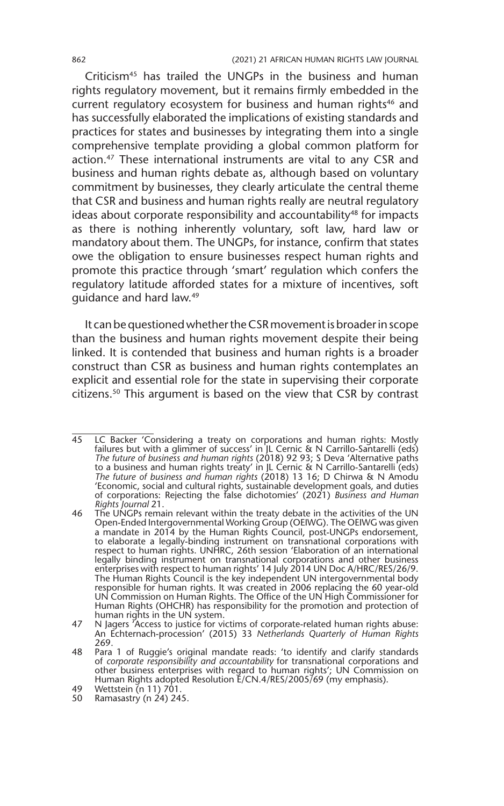Criticism45 has trailed the UNGPs in the business and human rights regulatory movement, but it remains firmly embedded in the current regulatory ecosystem for business and human rights<sup>46</sup> and has successfully elaborated the implications of existing standards and practices for states and businesses by integrating them into a single comprehensive template providing a global common platform for action.<sup>47</sup> These international instruments are vital to any CSR and business and human rights debate as, although based on voluntary commitment by businesses, they clearly articulate the central theme that CSR and business and human rights really are neutral regulatory ideas about corporate responsibility and accountability<sup>48</sup> for impacts as there is nothing inherently voluntary, soft law, hard law or mandatory about them. The UNGPs, for instance, confirm that states owe the obligation to ensure businesses respect human rights and promote this practice through 'smart' regulation which confers the regulatory latitude afforded states for a mixture of incentives, soft guidance and hard law.49

It can be questioned whether the CSR movement is broader in scope than the business and human rights movement despite their being linked. It is contended that business and human rights is a broader construct than CSR as business and human rights contemplates an explicit and essential role for the state in supervising their corporate citizens.50 This argument is based on the view that CSR by contrast

<sup>45</sup> LC Backer 'Considering a treaty on corporations and human rights: Mostly failures but with a glimmer of success' in JL Cernic & N Carrillo-Santarelli (eds) *The future of business and human rights* (2018) 92 93; S Deva 'Alternative paths to a business and human rights treaty' in JL Cernic & N Carrillo-Santarelli (eds) *The future of business and human rights* (2018) 13 16; D Chirwa & N Amodu 'Economic, social and cultural rights, sustainable development goals, and duties of corporations: Rejecting the false dichotomies' (2021) *Business and Human Rights Journal* 21.

<sup>46</sup> The UNGPs remain relevant within the treaty debate in the activities of the UN Open-Ended Intergovernmental Working Group (OEIWG). The OEIWG was given a mandate in 2014 by the Human Rights Council, post-UNGPs endorsement, to elaborate a legally-binding instrument on transnational corporations with respect to human rights. UNHRC, 26th session 'Elaboration of an international legally binding instrument on transnational corporations and other business enterprises with respect to human rights' 14 July 2014 UN Doc A/HRC/RES/26/9. The Human Rights Council is the key independent UN intergovernmental body responsible for human rights. It was created in 2006 replacing the 60 year-old UN Commission on Human Rights. The Office of the UN High Commissioner for Human Rights (OHCHR) has responsibility for the promotion and protection of human rights in the UN system.

<sup>47</sup> N Jagers 'Access to justice for victims of corporate-related human rights abuse: An Echternach-procession' (2015) 33 *Netherlands Quarterly of Human Rights*  269.

<sup>48</sup> Para 1 of Ruggie's original mandate reads: 'to identify and clarify standards of *corporate responsibility and accountability* for transnational corporations and other business enterprises with regard to human rights'; UN Commission on Human Rights adopted Resolution E/CN.4/RES/2005/69 (my emphasis).

<sup>49</sup> Wettstein (n 11) 701.

<sup>50</sup> Ramasastry (n 24) 245.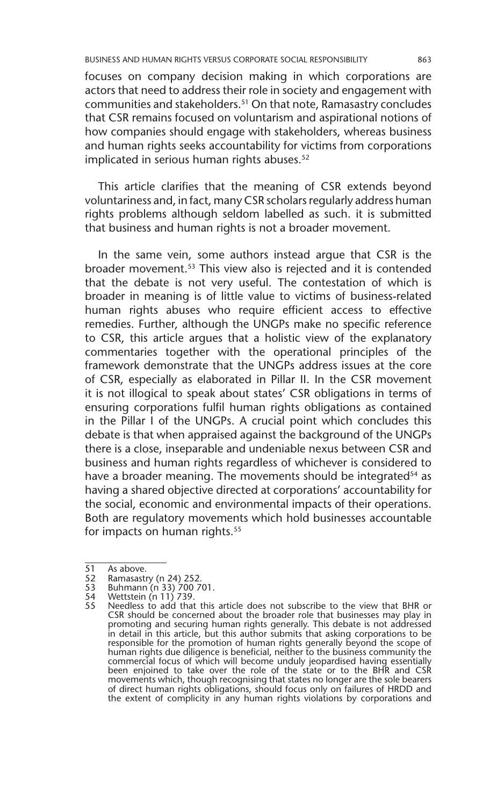focuses on company decision making in which corporations are actors that need to address their role in society and engagement with communities and stakeholders.51 On that note, Ramasastry concludes that CSR remains focused on voluntarism and aspirational notions of how companies should engage with stakeholders, whereas business and human rights seeks accountability for victims from corporations implicated in serious human rights abuses.<sup>52</sup>

This article clarifies that the meaning of CSR extends beyond voluntariness and, in fact, many CSR scholars regularly address human rights problems although seldom labelled as such. it is submitted that business and human rights is not a broader movement.

In the same vein, some authors instead argue that CSR is the broader movement.53 This view also is rejected and it is contended that the debate is not very useful. The contestation of which is broader in meaning is of little value to victims of business-related human rights abuses who require efficient access to effective remedies. Further, although the UNGPs make no specific reference to CSR, this article argues that a holistic view of the explanatory commentaries together with the operational principles of the framework demonstrate that the UNGPs address issues at the core of CSR, especially as elaborated in Pillar II. In the CSR movement it is not illogical to speak about states' CSR obligations in terms of ensuring corporations fulfil human rights obligations as contained in the Pillar I of the UNGPs. A crucial point which concludes this debate is that when appraised against the background of the UNGPs there is a close, inseparable and undeniable nexus between CSR and business and human rights regardless of whichever is considered to have a broader meaning. The movements should be integrated<sup>54</sup> as having a shared objective directed at corporations' accountability for the social, economic and environmental impacts of their operations. Both are regulatory movements which hold businesses accountable for impacts on human rights.<sup>55</sup>

<sup>51</sup> As above.<br>52 Ramasastr

Ramasastry (n 24) 252.

<sup>53</sup> Buhmann (n 33) 700 701.<br>54 Wettstein (n 11) 739.

<sup>54</sup> Wettstein (n 11) 739.

<sup>55</sup> Needless to add that this article does not subscribe to the view that BHR or CSR should be concerned about the broader role that businesses may play in promoting and securing human rights generally. This debate is not addressed in detail in this article, but this author submits that asking corporations to be responsible for the promotion of human rights generally beyond the scope of human rights due diligence is beneficial, neither to the business community the commercial focus of which will become unduly jeopardised having essentially been enjoined to take over the role of the state or to the BHR and CSR movements which, though recognising that states no longer are the sole bearers of direct human rights obligations, should focus only on failures of HRDD and the extent of complicity in any human rights violations by corporations and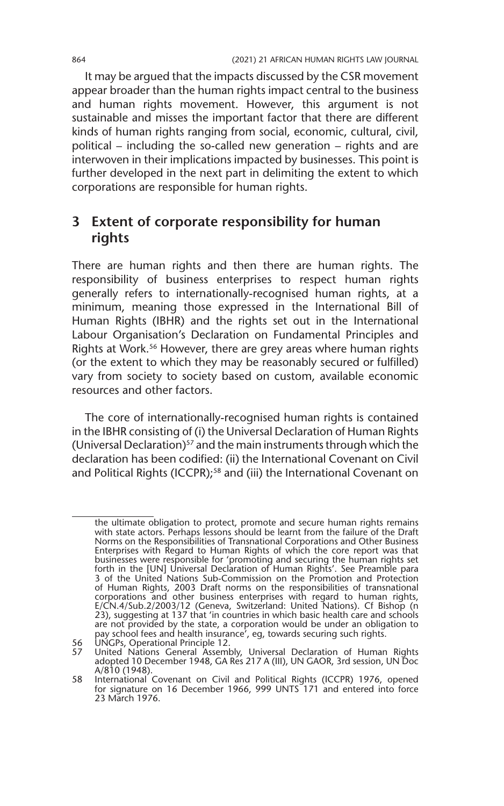It may be argued that the impacts discussed by the CSR movement appear broader than the human rights impact central to the business and human rights movement. However, this argument is not sustainable and misses the important factor that there are different kinds of human rights ranging from social, economic, cultural, civil, political – including the so-called new generation – rights and are interwoven in their implications impacted by businesses. This point is further developed in the next part in delimiting the extent to which corporations are responsible for human rights.

#### **3 Extent of corporate responsibility for human rights**

There are human rights and then there are human rights. The responsibility of business enterprises to respect human rights generally refers to internationally-recognised human rights, at a minimum, meaning those expressed in the International Bill of Human Rights (IBHR) and the rights set out in the International Labour Organisation's Declaration on Fundamental Principles and Rights at Work.<sup>56</sup> However, there are grey areas where human rights (or the extent to which they may be reasonably secured or fulfilled) vary from society to society based on custom, available economic resources and other factors.

The core of internationally-recognised human rights is contained in the IBHR consisting of (i) the Universal Declaration of Human Rights (Universal Declaration)<sup>57</sup> and the main instruments through which the declaration has been codified: (ii) the International Covenant on Civil and Political Rights (ICCPR);<sup>58</sup> and (iii) the International Covenant on

the ultimate obligation to protect, promote and secure human rights remains with state actors. Perhaps lessons should be learnt from the failure of the Draft Norms on the Responsibilities of Transnational Corporations and Other Business Enterprises with Regard to Human Rights of which the core report was that businesses were responsible for 'promoting and securing the human rights set forth in the [UN] Universal Declaration of Human Rights'. See Preamble para 3 of the United Nations Sub-Commission on the Promotion and Protection of Human Rights, 2003 Draft norms on the responsibilities of transnational corporations and other business enterprises with regard to human rights, E/CN.4/Sub.2/2003/12 (Geneva, Switzerland: United Nations). Cf Bishop (n 23), suggesting at 137 that 'in countries in which basic health care and schools are not provided by the state, a corporation would be under an obligation to pay school fees and health insurance', eg, towards securing such rights.

<sup>56</sup> UNGPs, Operational Principle 12.<br>57 United Nations General Assemb

<sup>57</sup> United Nations General Assembly, Universal Declaration of Human Rights adopted 10 December 1948, GA Res 217 A (III), UN GAOR, 3rd session, UN Doc A/810 (1948).

<sup>58</sup> International Covenant on Civil and Political Rights (ICCPR) 1976, opened for signature on 16 December 1966, 999 UNTS 171 and entered into force 23 March 1976.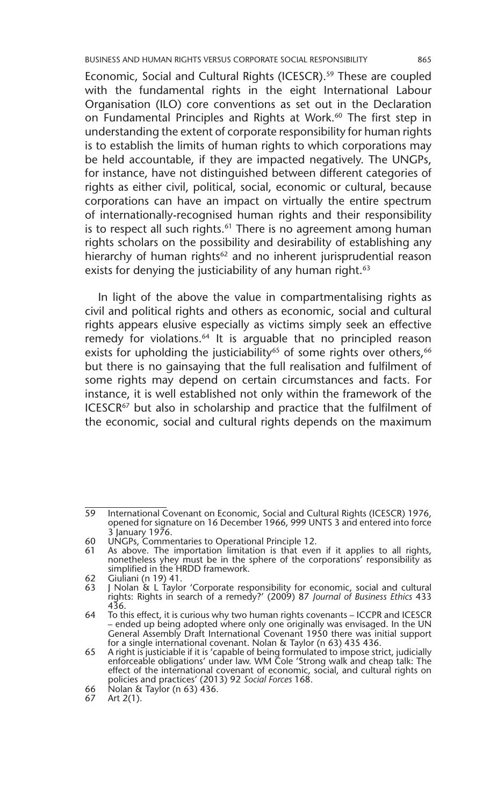Economic, Social and Cultural Rights (ICESCR).<sup>59</sup> These are coupled with the fundamental rights in the eight International Labour Organisation (ILO) core conventions as set out in the Declaration on Fundamental Principles and Rights at Work.<sup>60</sup> The first step in understanding the extent of corporate responsibility for human rights is to establish the limits of human rights to which corporations may be held accountable, if they are impacted negatively. The UNGPs, for instance, have not distinguished between different categories of rights as either civil, political, social, economic or cultural, because corporations can have an impact on virtually the entire spectrum of internationally-recognised human rights and their responsibility is to respect all such rights.<sup>61</sup> There is no agreement among human rights scholars on the possibility and desirability of establishing any hierarchy of human rights<sup>62</sup> and no inherent jurisprudential reason exists for denying the justiciability of any human right.<sup>63</sup>

In light of the above the value in compartmentalising rights as civil and political rights and others as economic, social and cultural rights appears elusive especially as victims simply seek an effective remedy for violations.<sup>64</sup> It is arguable that no principled reason exists for upholding the justiciability<sup>65</sup> of some rights over others,<sup>66</sup> but there is no gainsaying that the full realisation and fulfilment of some rights may depend on certain circumstances and facts. For instance, it is well established not only within the framework of the ICESCR<sup>67</sup> but also in scholarship and practice that the fulfilment of the economic, social and cultural rights depends on the maximum

<sup>59</sup> International Covenant on Economic, Social and Cultural Rights (ICESCR) 1976, opened for signature on 16 December 1966, 999 UNTS 3 and entered into force 3 January 1976.

<sup>60</sup> UNGPs, Commentaries to Operational Principle 12.

<sup>61</sup> As above. The importation limitation is that even if it applies to all rights, nonetheless yhey must be in the sphere of the corporations' responsibility as simplified in the HRDD framework.

<sup>62</sup> Giuliani (n 19) 41.<br>63 J Nolan & L Taylor 'Corporate responsibility for economic, social and cultural 63 J Nolan & L Taylor 'Corporate responsibility for economic, social and cultural rights: Rights in search of a remedy?' (2009) 87 *Journal of Business Ethics* 433 436.

<sup>64</sup> To this effect, it is curious why two human rights covenants – ICCPR and ICESCR – ended up being adopted where only one originally was envisaged. In the UN General Assembly Draft International Covenant 1950 there was initial support for a single international covenant. Nolan & Taylor (n 63) 435 436.

<sup>65</sup> A right is justiciable if it is 'capable of being formulated to impose strict, judicially enforceable obligations' under law. WM Cole 'Strong walk and cheap talk: The effect of the international covenant of economic, social, and cultural rights on policies and practices' (2013) 92 *Social Forces* 168.

<sup>66</sup> Nolan & Taylor (n 63) 436.

<sup>67</sup> Art 2(1).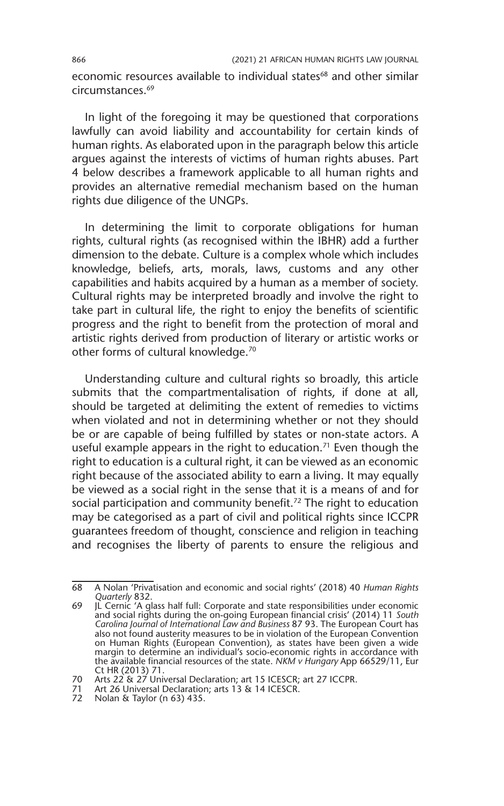economic resources available to individual states<sup>68</sup> and other similar circumstances.69

In light of the foregoing it may be questioned that corporations lawfully can avoid liability and accountability for certain kinds of human rights. As elaborated upon in the paragraph below this article argues against the interests of victims of human rights abuses. Part 4 below describes a framework applicable to all human rights and provides an alternative remedial mechanism based on the human rights due diligence of the UNGPs.

In determining the limit to corporate obligations for human rights, cultural rights (as recognised within the IBHR) add a further dimension to the debate. Culture is a complex whole which includes knowledge, beliefs, arts, morals, laws, customs and any other capabilities and habits acquired by a human as a member of society. Cultural rights may be interpreted broadly and involve the right to take part in cultural life, the right to enjoy the benefits of scientific progress and the right to benefit from the protection of moral and artistic rights derived from production of literary or artistic works or other forms of cultural knowledge.<sup>70</sup>

Understanding culture and cultural rights so broadly, this article submits that the compartmentalisation of rights, if done at all, should be targeted at delimiting the extent of remedies to victims when violated and not in determining whether or not they should be or are capable of being fulfilled by states or non-state actors. A useful example appears in the right to education.<sup>71</sup> Even though the right to education is a cultural right, it can be viewed as an economic right because of the associated ability to earn a living. It may equally be viewed as a social right in the sense that it is a means of and for social participation and community benefit.<sup>72</sup> The right to education may be categorised as a part of civil and political rights since ICCPR guarantees freedom of thought, conscience and religion in teaching and recognises the liberty of parents to ensure the religious and

<sup>68</sup> A Nolan 'Privatisation and economic and social rights' (2018) 40 *Human Rights Quarterly* 832.

<sup>69</sup> JL Cernic 'A glass half full: Corporate and state responsibilities under economic and social rights during the on-going European financial crisis' (2014) 11 *South Carolina Journal of International Law and Business* 87 93. The European Court has also not found austerity measures to be in violation of the European Convention on Human Rights (European Convention), as states have been given a wide margin to determine an individual's socio-economic rights in accordance with the available financial resources of the state. *NKM v Hungary* App 66529/11, Eur Ct HR (2013) 71.

<sup>70</sup> Arts 22 & 27 Universal Declaration; art 15 ICESCR; art 27 ICCPR.

<sup>71</sup> Art 26 Universal Declaration; arts 13 & 14 ICESCR.

<sup>21</sup> Art 20 Universal Declaration<br>72 Nolan & Taylor (n 63) 435.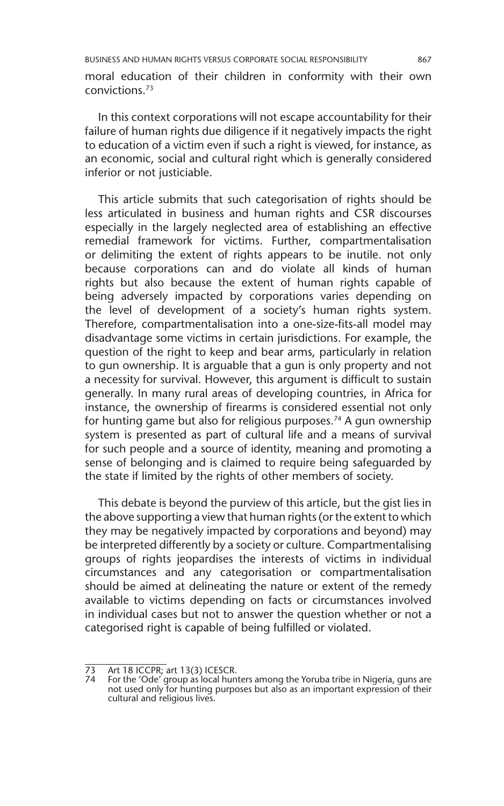moral education of their children in conformity with their own convictions.73

In this context corporations will not escape accountability for their failure of human rights due diligence if it negatively impacts the right to education of a victim even if such a right is viewed, for instance, as an economic, social and cultural right which is generally considered inferior or not justiciable.

This article submits that such categorisation of rights should be less articulated in business and human rights and CSR discourses especially in the largely neglected area of establishing an effective remedial framework for victims. Further, compartmentalisation or delimiting the extent of rights appears to be inutile. not only because corporations can and do violate all kinds of human rights but also because the extent of human rights capable of being adversely impacted by corporations varies depending on the level of development of a society's human rights system. Therefore, compartmentalisation into a one-size-fits-all model may disadvantage some victims in certain jurisdictions. For example, the question of the right to keep and bear arms, particularly in relation to gun ownership. It is arguable that a gun is only property and not a necessity for survival. However, this argument is difficult to sustain generally. In many rural areas of developing countries, in Africa for instance, the ownership of firearms is considered essential not only for hunting game but also for religious purposes.<sup>74</sup> A gun ownership system is presented as part of cultural life and a means of survival for such people and a source of identity, meaning and promoting a sense of belonging and is claimed to require being safeguarded by the state if limited by the rights of other members of society.

This debate is beyond the purview of this article, but the gist lies in the above supporting a view that human rights (or the extent to which they may be negatively impacted by corporations and beyond) may be interpreted differently by a society or culture. Compartmentalising groups of rights jeopardises the interests of victims in individual circumstances and any categorisation or compartmentalisation should be aimed at delineating the nature or extent of the remedy available to victims depending on facts or circumstances involved in individual cases but not to answer the question whether or not a categorised right is capable of being fulfilled or violated.

 $\overline{73}$  Art 18 ICCPR; art 13(3) ICESCR.<br> $\overline{74}$  For the 'Ode' group as local hun

<sup>74</sup> For the 'Ode' group as local hunters among the Yoruba tribe in Nigeria, guns are not used only for hunting purposes but also as an important expression of their cultural and religious lives.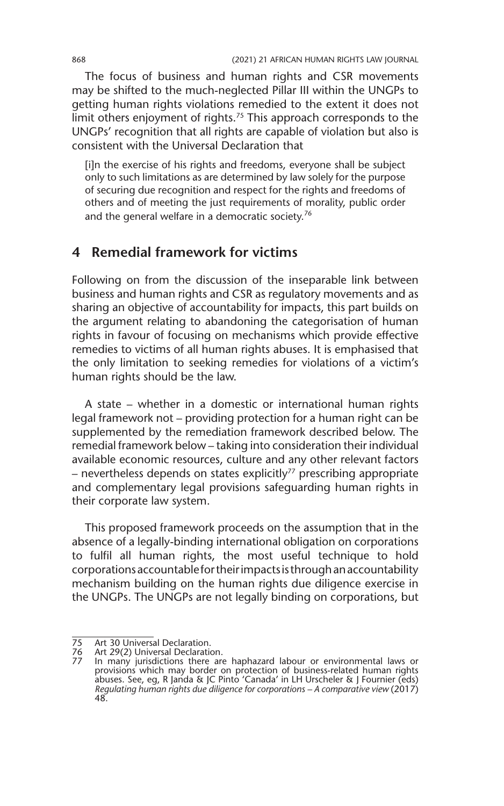The focus of business and human rights and CSR movements may be shifted to the much-neglected Pillar III within the UNGPs to getting human rights violations remedied to the extent it does not limit others enjoyment of rights.<sup>75</sup> This approach corresponds to the UNGPs' recognition that all rights are capable of violation but also is consistent with the Universal Declaration that

[i]n the exercise of his rights and freedoms, everyone shall be subject only to such limitations as are determined by law solely for the purpose of securing due recognition and respect for the rights and freedoms of others and of meeting the just requirements of morality, public order and the general welfare in a democratic society.76

#### **4 Remedial framework for victims**

Following on from the discussion of the inseparable link between business and human rights and CSR as regulatory movements and as sharing an objective of accountability for impacts, this part builds on the argument relating to abandoning the categorisation of human rights in favour of focusing on mechanisms which provide effective remedies to victims of all human rights abuses. It is emphasised that the only limitation to seeking remedies for violations of a victim's human rights should be the law.

A state – whether in a domestic or international human rights legal framework not – providing protection for a human right can be supplemented by the remediation framework described below. The remedial framework below – taking into consideration their individual available economic resources, culture and any other relevant factors  $-$  nevertheless depends on states explicitly<sup>77</sup> prescribing appropriate and complementary legal provisions safeguarding human rights in their corporate law system.

This proposed framework proceeds on the assumption that in the absence of a legally-binding international obligation on corporations to fulfil all human rights, the most useful technique to hold corporations accountable for their impacts is through an accountability mechanism building on the human rights due diligence exercise in the UNGPs. The UNGPs are not legally binding on corporations, but

<sup>75</sup> Art 30 Universal Declaration.<br>76 Art 29(2) Universal Declaration.<br>77 In many jurisdictions there

Art 29(2) Universal Declaration.

<sup>77</sup> In many jurisdictions there are haphazard labour or environmental laws or provisions which may border on protection of business-related human rights abuses. See, eg, R Janda & JC Pinto 'Canada' in LH Urscheler & J Fournier (eds) *Regulating human rights due diligence for corporations – A comparative view* (2017) 48.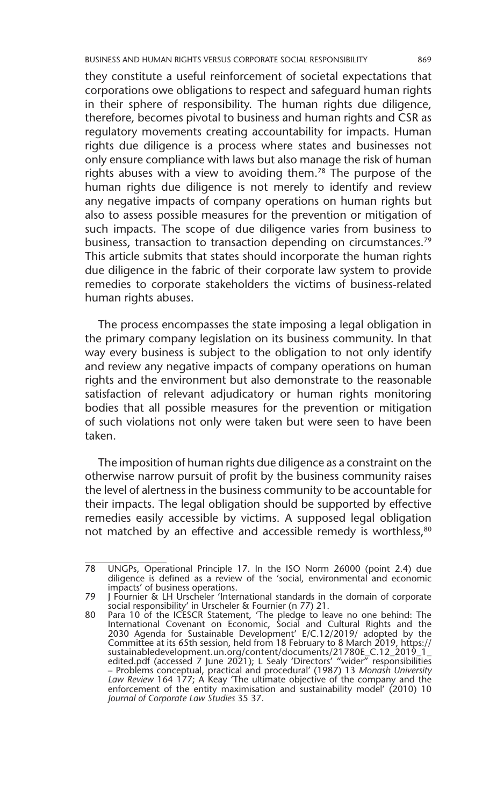they constitute a useful reinforcement of societal expectations that corporations owe obligations to respect and safeguard human rights in their sphere of responsibility. The human rights due diligence, therefore, becomes pivotal to business and human rights and CSR as regulatory movements creating accountability for impacts. Human rights due diligence is a process where states and businesses not only ensure compliance with laws but also manage the risk of human rights abuses with a view to avoiding them.<sup>78</sup> The purpose of the human rights due diligence is not merely to identify and review any negative impacts of company operations on human rights but also to assess possible measures for the prevention or mitigation of such impacts. The scope of due diligence varies from business to business, transaction to transaction depending on circumstances.<sup>79</sup> This article submits that states should incorporate the human rights due diligence in the fabric of their corporate law system to provide remedies to corporate stakeholders the victims of business-related human rights abuses.

The process encompasses the state imposing a legal obligation in the primary company legislation on its business community. In that way every business is subject to the obligation to not only identify and review any negative impacts of company operations on human rights and the environment but also demonstrate to the reasonable satisfaction of relevant adjudicatory or human rights monitoring bodies that all possible measures for the prevention or mitigation of such violations not only were taken but were seen to have been taken.

The imposition of human rights due diligence as a constraint on the otherwise narrow pursuit of profit by the business community raises the level of alertness in the business community to be accountable for their impacts. The legal obligation should be supported by effective remedies easily accessible by victims. A supposed legal obligation not matched by an effective and accessible remedy is worthless,<sup>80</sup>

<sup>78</sup> UNGPs, Operational Principle 17. In the ISO Norm 26000 (point 2.4) due diligence is defined as a review of the 'social, environmental and economic impacts' of business operations.

<sup>79</sup> J Fournier & LH Urscheler 'International standards in the domain of corporate social responsibility' in Urscheler & Fournier (n 77) 21.

<sup>80</sup> Para 10 of the ICESCR Statement, 'The pledge to leave no one behind: The International Covenant on Economic, Social and Cultural Rights and the 2030 Agenda for Sustainable Development' E/C.12/2019/ adopted by the Committee at its 65th session, held from 18 February to 8 March 2019, https:// sustainabledevelopment.un.org/content/documents/21780E\_C.12\_2019\_1\_<br>edited.pdf (accessed 7 June 2021); L Sealy 'Directors' "wider" responsibilities<br>– Problems conceptual, practical and procedural' (1987) 13 *Monash Univers Law Review* 164 177; A Keay 'The ultimate objective of the company and the enforcement of the entity maximisation and sustainability model' (2010) 10 *Journal of Corporate Law Studies* 35 37.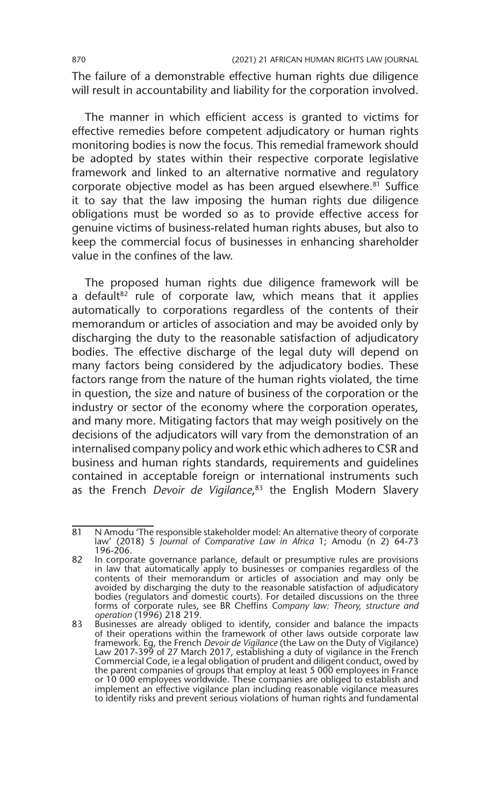The failure of a demonstrable effective human rights due diligence will result in accountability and liability for the corporation involved.

The manner in which efficient access is granted to victims for effective remedies before competent adjudicatory or human rights monitoring bodies is now the focus. This remedial framework should be adopted by states within their respective corporate legislative framework and linked to an alternative normative and regulatory corporate objective model as has been arqued elsewhere.<sup>81</sup> Suffice it to say that the law imposing the human rights due diligence obligations must be worded so as to provide effective access for genuine victims of business-related human rights abuses, but also to keep the commercial focus of businesses in enhancing shareholder value in the confines of the law.

The proposed human rights due diligence framework will be a default<sup>82</sup> rule of corporate law, which means that it applies automatically to corporations regardless of the contents of their memorandum or articles of association and may be avoided only by discharging the duty to the reasonable satisfaction of adjudicatory bodies. The effective discharge of the legal duty will depend on many factors being considered by the adjudicatory bodies. These factors range from the nature of the human rights violated, the time in question, the size and nature of business of the corporation or the industry or sector of the economy where the corporation operates, and many more. Mitigating factors that may weigh positively on the decisions of the adjudicators will vary from the demonstration of an internalised company policy and work ethic which adheres to CSR and business and human rights standards, requirements and guidelines contained in acceptable foreign or international instruments such as the French *Devoir de Vigilance*, 83 the English Modern Slavery

<sup>81</sup> N Amodu 'The responsible stakeholder model: An alternative theory of corporate law' (2018) 5 *Journal of Comparative Law in Africa* 1; Amodu (n 2) 64-73 196-206.

<sup>82</sup> In corporate governance parlance, default or presumptive rules are provisions in law that automatically apply to businesses or companies regardless of the contents of their memorandum or articles of association and may only be avoided by discharging the duty to the reasonable satisfaction of adjudicatory bodies (regulators and domestic courts). For detailed discussions on the three forms of corporate rules, see BR Cheffins *Company law: Theory, structure and operation* (1996) 218 219.

<sup>83</sup> Businesses are already obliged to identify, consider and balance the impacts of their operations within the framework of other laws outside corporate law framework. Eg, the French *Devoir de Vigilance* (the Law on the Duty of Vigilance) Law 2017-399 of 27 March 2017, establishing a duty of vigilance in the French<br>Commercial Code, ie a legal obligation of prudent and diligent conduct, owed by<br>the parent companies of groups that employ at least 5 000 employ or 10 000 employees worldwide. These companies are obliged to establish and implement an effective vigilance plan including reasonable vigilance measures to identify risks and prevent serious violations of human rights and fundamental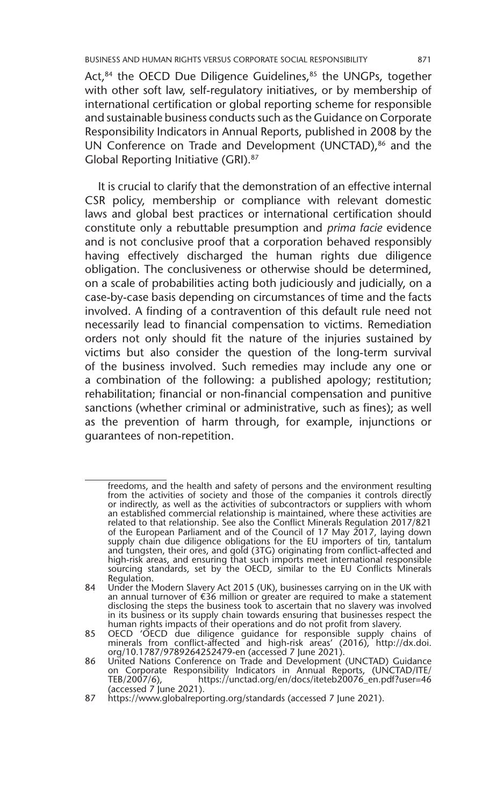Act,<sup>84</sup> the OECD Due Diligence Guidelines,<sup>85</sup> the UNGPs, together with other soft law, self-regulatory initiatives, or by membership of international certification or global reporting scheme for responsible and sustainable business conducts such as the Guidance on Corporate Responsibility Indicators in Annual Reports, published in 2008 by the UN Conference on Trade and Development (UNCTAD),<sup>86</sup> and the Global Reporting Initiative (GRI).87

It is crucial to clarify that the demonstration of an effective internal CSR policy, membership or compliance with relevant domestic laws and global best practices or international certification should constitute only a rebuttable presumption and *prima facie* evidence and is not conclusive proof that a corporation behaved responsibly having effectively discharged the human rights due diligence obligation. The conclusiveness or otherwise should be determined, on a scale of probabilities acting both judiciously and judicially, on a case-by-case basis depending on circumstances of time and the facts involved. A finding of a contravention of this default rule need not necessarily lead to financial compensation to victims. Remediation orders not only should fit the nature of the injuries sustained by victims but also consider the question of the long-term survival of the business involved. Such remedies may include any one or a combination of the following: a published apology; restitution; rehabilitation; financial or non-financial compensation and punitive sanctions (whether criminal or administrative, such as fines); as well as the prevention of harm through, for example, injunctions or guarantees of non-repetition.

freedoms, and the health and safety of persons and the environment resulting from the activities of society and those of the companies it controls directly or indirectly, as well as the activities of subcontractors or suppliers with whom an established commercial relationship is maintained, where these activities are related to that relationship. See also the Conflict Minerals Regulation 2017/821 of the European Parliament and of the Council of 17 May 2017, laying down supply chain due diligence obligations for the EU importers of tin, tantalum and tungsten, their ores, and gold (3TG) originating from conflict-affected and high-risk areas, and ensuring that such imports meet international responsible sourcing standards, set by the OECD, similar to the EU Conflicts Minerals Regulation.

<sup>84</sup> Under the Modern Slavery Act 2015 (UK), businesses carrying on in the UK with an annual turnover of €36 million or greater are required to make a statement disclosing the steps the business took to ascertain that no slavery was involved in its business or its supply chain towards ensuring that businesses respect the human rights impacts of their operations and do not profit from slavery.

<sup>85</sup> OECD 'OECD due diligence guidance for responsible supply chains of minerals from conflict-affected and high-risk areas' (2016), http://dx.doi. org/10.1787/9789264252479-en (accessed 7 June 2021).

<sup>86</sup> United Nations Conference on Trade and Development (UNCTAD) Guidance on Corporate Responsibility Indicators in Annual Reports, (UNCTAD/ITE/ TEB/2007/6), https://unctad.org/en/docs/iteteb20076\_en.pdf?user=46 TEB/2007/6), https://www.pdf<br>(accessed 7 June 2021).

<sup>87</sup> https://www.globalreporting.org/standards (accessed 7 June 2021).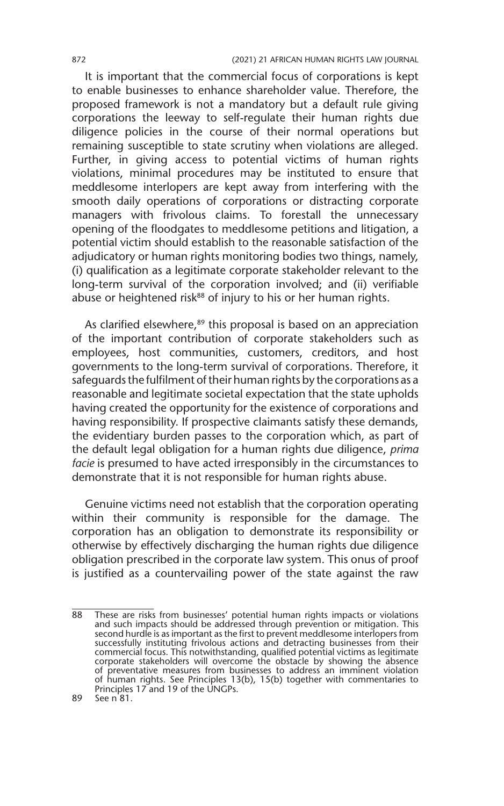It is important that the commercial focus of corporations is kept to enable businesses to enhance shareholder value. Therefore, the proposed framework is not a mandatory but a default rule giving corporations the leeway to self-regulate their human rights due diligence policies in the course of their normal operations but remaining susceptible to state scrutiny when violations are alleged. Further, in giving access to potential victims of human rights violations, minimal procedures may be instituted to ensure that meddlesome interlopers are kept away from interfering with the smooth daily operations of corporations or distracting corporate managers with frivolous claims. To forestall the unnecessary opening of the floodgates to meddlesome petitions and litigation, a potential victim should establish to the reasonable satisfaction of the adjudicatory or human rights monitoring bodies two things, namely, (i) qualification as a legitimate corporate stakeholder relevant to the long-term survival of the corporation involved; and (ii) verifiable abuse or heightened risk<sup>88</sup> of injury to his or her human rights.

As clarified elsewhere,<sup>89</sup> this proposal is based on an appreciation of the important contribution of corporate stakeholders such as employees, host communities, customers, creditors, and host governments to the long-term survival of corporations. Therefore, it safeguards the fulfilment of their human rights by the corporations as a reasonable and legitimate societal expectation that the state upholds having created the opportunity for the existence of corporations and having responsibility. If prospective claimants satisfy these demands, the evidentiary burden passes to the corporation which, as part of the default legal obligation for a human rights due diligence, *prima facie* is presumed to have acted irresponsibly in the circumstances to demonstrate that it is not responsible for human rights abuse.

Genuine victims need not establish that the corporation operating within their community is responsible for the damage. The corporation has an obligation to demonstrate its responsibility or otherwise by effectively discharging the human rights due diligence obligation prescribed in the corporate law system. This onus of proof is justified as a countervailing power of the state against the raw

<sup>88</sup> These are risks from businesses' potential human rights impacts or violations and such impacts should be addressed through prevention or mitigation. This second hurdle is as important as the first to prevent meddlesome interlopers from successfully instituting frivolous actions and detracting businesses from their commercial focus. This notwithstanding, qualified potential victims as legitimate<br>corporate stakeholders will overcome the obstacle by showing the absence<br>of preventative measures from businesses to address of human rights. See Principles 13(b), 15(b) together with commentaries to Principles 17 and 19 of the UNGPs.

<sup>89</sup> See n'81.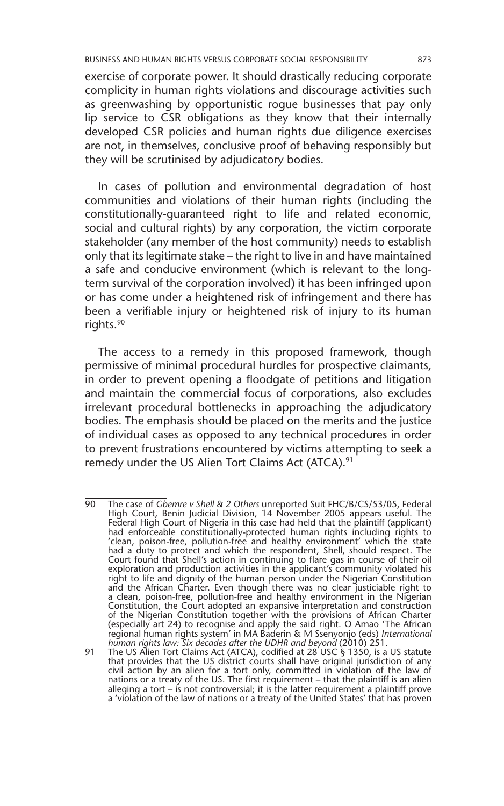exercise of corporate power. It should drastically reducing corporate complicity in human rights violations and discourage activities such as greenwashing by opportunistic rogue businesses that pay only lip service to CSR obligations as they know that their internally developed CSR policies and human rights due diligence exercises are not, in themselves, conclusive proof of behaving responsibly but they will be scrutinised by adjudicatory bodies.

In cases of pollution and environmental degradation of host communities and violations of their human rights (including the constitutionally-guaranteed right to life and related economic, social and cultural rights) by any corporation, the victim corporate stakeholder (any member of the host community) needs to establish only that its legitimate stake – the right to live in and have maintained a safe and conducive environment (which is relevant to the longterm survival of the corporation involved) it has been infringed upon or has come under a heightened risk of infringement and there has been a verifiable injury or heightened risk of injury to its human rights.90

The access to a remedy in this proposed framework, though permissive of minimal procedural hurdles for prospective claimants, in order to prevent opening a floodgate of petitions and litigation and maintain the commercial focus of corporations, also excludes irrelevant procedural bottlenecks in approaching the adjudicatory bodies. The emphasis should be placed on the merits and the justice of individual cases as opposed to any technical procedures in order to prevent frustrations encountered by victims attempting to seek a remedy under the US Alien Tort Claims Act (ATCA).<sup>91</sup>

<sup>90</sup> The case of *Gbemre v Shell & 2 Others* unreported Suit FHC/B/CS/53/05, Federal High Court, Benin Judicial Division, 14 November 2005 appears useful. The Federal High Court of Nigeria in this case had held that the plaintiff (applicant) had enforceable constitutionally-protected human rights including rights to 'clean, poison-free, pollution-free and healthy environment' which the state had a duty to protect and which the respondent, Shell, should respect. The Court found that Shell's action in continuing to flare gas in course of their oil exploration and production activities in the applicant's community violated his right to life and dignity of the human person under the Nigerian Constitution and the African Charter. Even though there was no clear justiciable right to a clean, poison-free, pollution-free and healthy environment in the Nigerian Constitution, the Court adopted an expansive interpretation and construction of the Nigerian Constitution together with the provisions of African Charter (especially art 24) to recognise and apply the said right. O Amao 'The African regional human rights system' in MA Baderin & M Ssenyonjo (eds) *International human rights law: Six decades after the UDHR and beyond* (2010) 251.

<sup>91</sup> The US Alien Tort Claims Act (ATCA), codified at 28 USC § 1350, is a US statute that provides that the US district courts shall have original jurisdiction of any civil action by an alien for a tort only, committed in violation of the law of nations or a treaty of the US. The first requirement – that the plaintiff is an alien alleging a tort – is not controversial; it is the latter requirement a plaintiff prove a 'violation of the law of nations or a treaty of the United States' that has proven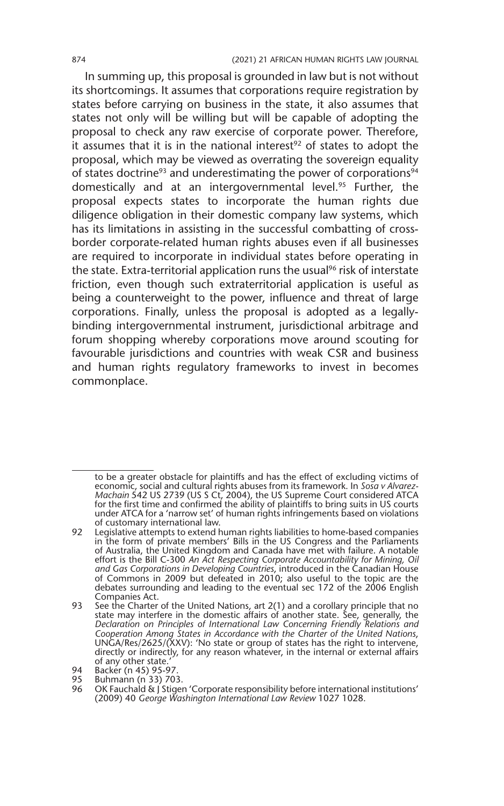In summing up, this proposal is grounded in law but is not without its shortcomings. It assumes that corporations require registration by states before carrying on business in the state, it also assumes that states not only will be willing but will be capable of adopting the proposal to check any raw exercise of corporate power. Therefore, it assumes that it is in the national interest<sup>92</sup> of states to adopt the proposal, which may be viewed as overrating the sovereign equality of states doctrine<sup>93</sup> and underestimating the power of corporations<sup>94</sup> domestically and at an intergovernmental level.<sup>95</sup> Further, the proposal expects states to incorporate the human rights due diligence obligation in their domestic company law systems, which has its limitations in assisting in the successful combatting of crossborder corporate-related human rights abuses even if all businesses are required to incorporate in individual states before operating in the state. Extra-territorial application runs the usual<sup>96</sup> risk of interstate friction, even though such extraterritorial application is useful as being a counterweight to the power, influence and threat of large corporations. Finally, unless the proposal is adopted as a legallybinding intergovernmental instrument, jurisdictional arbitrage and forum shopping whereby corporations move around scouting for favourable jurisdictions and countries with weak CSR and business and human rights regulatory frameworks to invest in becomes commonplace.

to be a greater obstacle for plaintiffs and has the effect of excluding victims of economic, social and cultural rights abuses from its framework. In *Sosa v Alvarez-Machain* 542 US 2739 (US S Ct, 2004), the US Supreme Court considered ATCA for the first time and confirmed the ability of plaintiffs to bring suits in US courts under ATCA for a 'narrow set' of human rights infringements based on violations of customary international law.

<sup>92</sup> Legislative attempts to extend human rights liabilities to home-based companies in the form of private members' Bills in the US Congress and the Parliaments of Australia, the United Kingdom and Canada have met with failure. A notable effort is the Bill C-300 *An Act Respecting Corporate Accountability for Mining, Oil and Gas Corporations in Developing Countries*, introduced in the Canadian House of Commons in 2009 but defeated in 2010; also useful to the topic are the debates surrounding and leading to the eventual sec 172 of the 2006 English Companies Act.

<sup>93</sup> See the Charter of the United Nations, art 2(1) and a corollary principle that no state may interfere in the domestic affairs of another state. See, generally, the *Declaration on Principles of International Law Concerning Friendly Relations and Cooperation Among States in Accordance with the Charter of the United Nations*, UNGA/Res/2625/(XXV): 'No state or group of states has the right to intervene, directly or indirectly, for any reason whatever, in the internal or external affairs of any other state.'

<sup>94</sup> Backer (n 45) 95-97<br>95 Buhmann (n 33) 70.<br>96 OK Fauchald & 1 Stig 95 Buhmann (n 33) 703.

<sup>96</sup> OK Fauchald & J Stigen 'Corporate responsibility before international institutions' (2009) 40 *George Washington International Law Review* 1027 1028.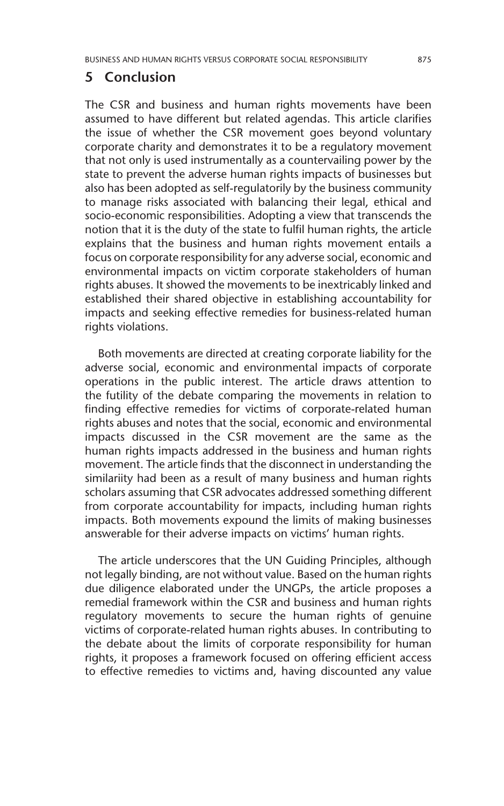#### **5 Conclusion**

The CSR and business and human rights movements have been assumed to have different but related agendas. This article clarifies the issue of whether the CSR movement goes beyond voluntary corporate charity and demonstrates it to be a regulatory movement that not only is used instrumentally as a countervailing power by the state to prevent the adverse human rights impacts of businesses but also has been adopted as self-regulatorily by the business community to manage risks associated with balancing their legal, ethical and socio-economic responsibilities. Adopting a view that transcends the notion that it is the duty of the state to fulfil human rights, the article explains that the business and human rights movement entails a focus on corporate responsibility for any adverse social, economic and environmental impacts on victim corporate stakeholders of human rights abuses. It showed the movements to be inextricably linked and established their shared objective in establishing accountability for impacts and seeking effective remedies for business-related human rights violations.

Both movements are directed at creating corporate liability for the adverse social, economic and environmental impacts of corporate operations in the public interest. The article draws attention to the futility of the debate comparing the movements in relation to finding effective remedies for victims of corporate-related human rights abuses and notes that the social, economic and environmental impacts discussed in the CSR movement are the same as the human rights impacts addressed in the business and human rights movement. The article finds that the disconnect in understanding the similariity had been as a result of many business and human rights scholars assuming that CSR advocates addressed something different from corporate accountability for impacts, including human rights impacts. Both movements expound the limits of making businesses answerable for their adverse impacts on victims' human rights.

The article underscores that the UN Guiding Principles, although not legally binding, are not without value. Based on the human rights due diligence elaborated under the UNGPs, the article proposes a remedial framework within the CSR and business and human rights regulatory movements to secure the human rights of genuine victims of corporate-related human rights abuses. In contributing to the debate about the limits of corporate responsibility for human rights, it proposes a framework focused on offering efficient access to effective remedies to victims and, having discounted any value